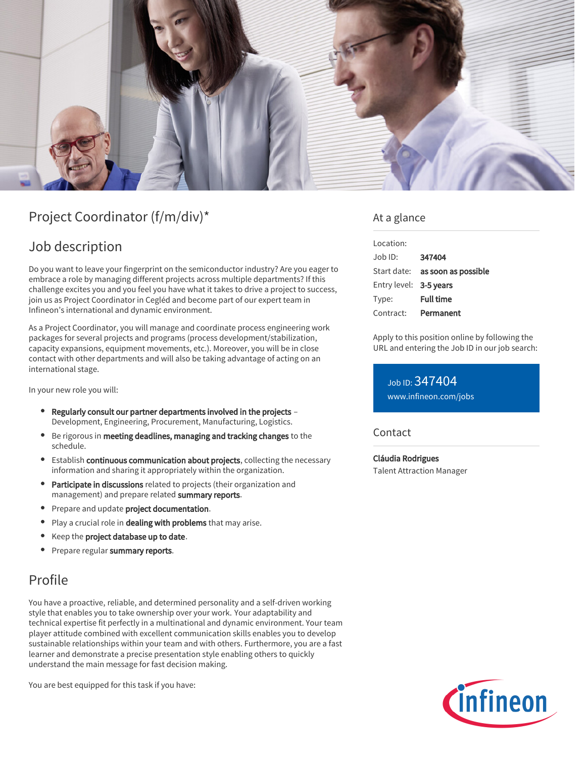

# Project Coordinator (f/m/div)\*

## Job description

Do you want to leave your fingerprint on the semiconductor industry? Are you eager to embrace a role by managing different projects across multiple departments? If this challenge excites you and you feel you have what it takes to drive a project to success, join us as Project Coordinator in Cegléd and become part of our expert team in Infineon's international and dynamic environment.

As a Project Coordinator, you will manage and coordinate process engineering work packages for several projects and programs (process development/stabilization, capacity expansions, equipment movements, etc.). Moreover, you will be in close contact with other departments and will also be taking advantage of acting on an international stage.

In your new role you will:

- Regularly consult our partner departments involved in the projects Development, Engineering, Procurement, Manufacturing, Logistics.
- **Be rigorous in meeting deadlines, managing and tracking changes to the** schedule.
- **Establish continuous communication about projects**, collecting the necessary information and sharing it appropriately within the organization.
- **Participate in discussions** related to projects (their organization and management) and prepare related summary reports.
- Prepare and update project documentation.
- $\bullet$ Play a crucial role in dealing with problems that may arise.
- Keep the project database up to date.
- **Prepare regular summary reports.**

## Profile

You have a proactive, reliable, and determined personality and a self-driven working style that enables you to take ownership over your work. Your adaptability and technical expertise fit perfectly in a multinational and dynamic environment. Your team player attitude combined with excellent communication skills enables you to develop sustainable relationships within your team and with others. Furthermore, you are a fast learner and demonstrate a precise presentation style enabling others to quickly understand the main message for fast decision making.

You are best equipped for this task if you have:

### At a glance

| Location:              |                                        |
|------------------------|----------------------------------------|
| Job ID:                | 347404                                 |
|                        | Start date: <b>as soon as possible</b> |
| Entry level: 3-5 years |                                        |
| Type:                  | <b>Full time</b>                       |
| Contract:              | Permanent                              |

Apply to this position online by following the URL and entering the Job ID in our job search:

Job ID: 347404 [www.infineon.com/jobs](https://www.infineon.com/jobs)

**Contact** 

Cláudia Rodrigues Talent Attraction Manager